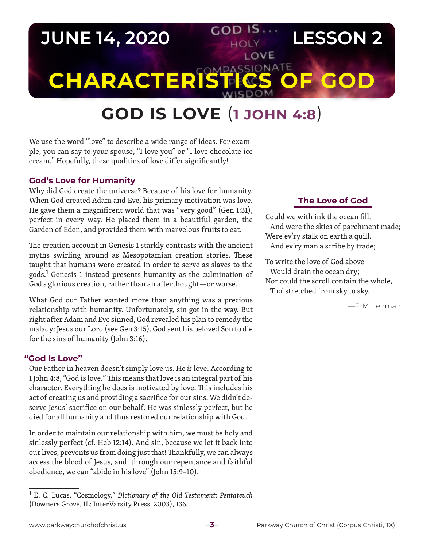# **JUNE 14, 2020 LESSON 2** LOVE **CHARACTERIST COS**

# **GOD IS LOVE** (**1 JOHN 4:8**)

We use the word "love" to describe a wide range of ideas. For example, you can say to your spouse, "I love you" or "I love chocolate ice cream." Hopefully, these qualities of love differ significantly!

### **God's Love for Humanity**

Why did God create the universe? Because of his love for humanity. When God created Adam and Eve, his primary motivation was love. He gave them a magnificent world that was "very good" (Gen 1:31), perfect in every way. He placed them in a beautiful garden, the Garden of Eden, and provided them with marvelous fruits to eat.

The creation account in Genesis 1 starkly contrasts with the ancient myths swirling around as Mesopotamian creation stories. These taught that humans were created in order to serve as slaves to the gods.**<sup>1</sup>** Genesis 1 instead presents humanity as the culmination of God's glorious creation, rather than an afterthought—or worse.

What God our Father wanted more than anything was a precious relationship with humanity. Unfortunately, sin got in the way. But right after Adam and Eve sinned, God revealed his plan to remedy the malady: Jesus our Lord (see Gen 3:15). God sent his beloved Son to die for the sins of humanity (John 3:16).

#### **"God Is Love"**

Our Father in heaven doesn't simply love us. He *is* love. According to 1 John 4:8, "God is love." This means that love is an integral part of his character. Everything he does is motivated by love. This includes his act of creating us and providing a sacrifice for our sins. We didn't deserve Jesus' sacrifice on our behalf. He was sinlessly perfect, but he died for all humanity and thus restored our relationship with God.

In order to maintain our relationship with him, we must be holy and sinlessly perfect (cf. Heb 12:14). And sin, because we let it back into our lives, prevents us from doing just that! Thankfully, we can always access the blood of Jesus, and, through our repentance and faithful obedience, we can "abide in his love" (John 15:9–10).

## **The Love of God**

Could we with ink the ocean fill, And were the skies of parchment made; Were ev'ry stalk on earth a quill, And ev'ry man a scribe by trade;

To write the love of God above Would drain the ocean dry; Nor could the scroll contain the whole, Tho' stretched from sky to sky.

—F. M. Lehman

**<sup>1</sup>** E. C. Lucas, "Cosmology," *Dictionary of the Old Testament: Pentateuch* (Downers Grove, IL: InterVarsity Press, 2003), 136.